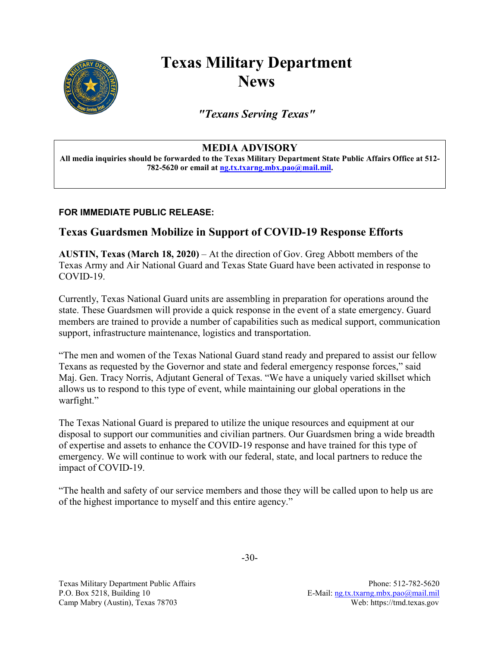

## **Texas Military Department News**

*"Texans Serving Texas"*

## **MEDIA ADVISORY**

**All media inquiries should be forwarded to the Texas Military Department State Public Affairs Office at 512- 782-5620 or email at [ng.tx.txarng.mbx.pao@mail.mil.](mailto:ng.tx.txarng.mbx.pao@mail.mil)**

## **FOR IMMEDIATE PUBLIC RELEASE:**

## **Texas Guardsmen Mobilize in Support of COVID-19 Response Efforts**

**AUSTIN, Texas (March 18, 2020)** – At the direction of Gov. Greg Abbott members of the Texas Army and Air National Guard and Texas State Guard have been activated in response to COVID-19.

Currently, Texas National Guard units are assembling in preparation for operations around the state. These Guardsmen will provide a quick response in the event of a state emergency. Guard members are trained to provide a number of capabilities such as medical support, communication support, infrastructure maintenance, logistics and transportation.

"The men and women of the Texas National Guard stand ready and prepared to assist our fellow Texans as requested by the Governor and state and federal emergency response forces," said Maj. Gen. Tracy Norris, Adjutant General of Texas. "We have a uniquely varied skillset which allows us to respond to this type of event, while maintaining our global operations in the warfight."

The Texas National Guard is prepared to utilize the unique resources and equipment at our disposal to support our communities and civilian partners. Our Guardsmen bring a wide breadth of expertise and assets to enhance the COVID-19 response and have trained for this type of emergency. We will continue to work with our federal, state, and local partners to reduce the impact of COVID-19.

"The health and safety of our service members and those they will be called upon to help us are of the highest importance to myself and this entire agency."

Texas Military Department Public Affairs Phone: 512-782-5620 P.O. Box 5218, Building 10 E-Mail: [ng.tx.txarng.mbx.pao@mail.mil](mailto:ng.tx.txarng.mbx.pao@mail.mil) Camp Mabry (Austin), Texas 78703 Web: https://tmd.texas.gov